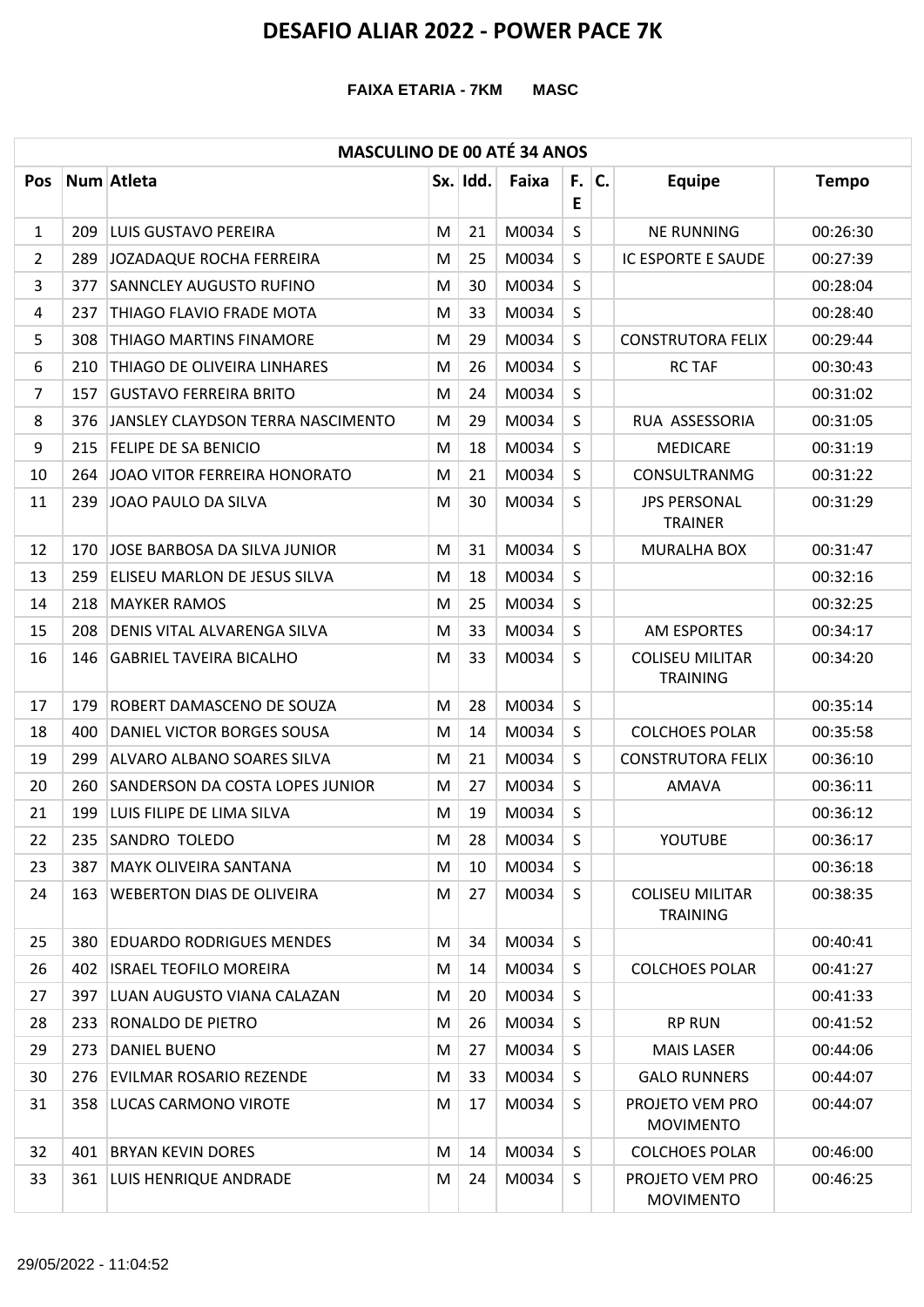#### **FAIXA ETARIA - 7KM MASC**

### **MASCULINO DE 00 ATÉ 34 ANOS**

|            |     | こついいつ レヒ                          |   | V        |       |           |    |                                           |              |
|------------|-----|-----------------------------------|---|----------|-------|-----------|----|-------------------------------------------|--------------|
| <b>Pos</b> |     | Num Atleta                        |   | Sx. Idd. | Faixa | F. I<br>E | C. | <b>Equipe</b>                             | <b>Tempo</b> |
| 1          | 209 | LUIS GUSTAVO PEREIRA              | M | 21       | M0034 | S         |    | <b>NE RUNNING</b>                         | 00:26:30     |
| 2          | 289 | JOZADAQUE ROCHA FERREIRA          | M | 25       | M0034 | S         |    | <b>IC ESPORTE E SAUDE</b>                 | 00:27:39     |
| 3          | 377 | <b>SANNCLEY AUGUSTO RUFINO</b>    | M | 30       | M0034 | S         |    |                                           | 00:28:04     |
| 4          | 237 | THIAGO FLAVIO FRADE MOTA          | M | 33       | M0034 | S         |    |                                           | 00:28:40     |
| 5          | 308 | <b>THIAGO MARTINS FINAMORE</b>    | M | 29       | M0034 | S         |    | <b>CONSTRUTORA FELIX</b>                  | 00:29:44     |
| 6          | 210 | THIAGO DE OLIVEIRA LINHARES       | M | 26       | M0034 | S         |    | <b>RC TAF</b>                             | 00:30:43     |
| 7          | 157 | <b>GUSTAVO FERREIRA BRITO</b>     | M | 24       | M0034 | S         |    |                                           | 00:31:02     |
| 8          | 376 | JANSLEY CLAYDSON TERRA NASCIMENTO | M | 29       | M0034 | S.        |    | RUA ASSESSORIA                            | 00:31:05     |
| 9          | 215 | <b>FELIPE DE SA BENICIO</b>       | M | 18       | M0034 | S         |    | <b>MEDICARE</b>                           | 00:31:19     |
| 10         | 264 | JOAO VITOR FERREIRA HONORATO      | M | 21       | M0034 | S         |    | <b>CONSULTRANMG</b>                       | 00:31:22     |
| 11         | 239 | JOAO PAULO DA SILVA               | M | 30       | M0034 | S         |    | <b>JPS PERSONAL</b><br><b>TRAINER</b>     | 00:31:29     |
| 12         | 170 | JOSE BARBOSA DA SILVA JUNIOR      | M | 31       | M0034 | S         |    | MURALHA BOX                               | 00:31:47     |
| 13         | 259 | ELISEU MARLON DE JESUS SILVA      | M | 18       | M0034 | S         |    |                                           | 00:32:16     |
| 14         | 218 | <b>MAYKER RAMOS</b>               | M | 25       | M0034 | S         |    |                                           | 00:32:25     |
| 15         | 208 | DENIS VITAL ALVARENGA SILVA       | M | 33       | M0034 | S.        |    | AM ESPORTES                               | 00:34:17     |
| 16         | 146 | <b>GABRIEL TAVEIRA BICALHO</b>    | M | 33       | M0034 | S.        |    | <b>COLISEU MILITAR</b><br><b>TRAINING</b> | 00:34:20     |
| 17         | 179 | ROBERT DAMASCENO DE SOUZA         | M | 28       | M0034 | S         |    |                                           | 00:35:14     |
| 18         | 400 | DANIEL VICTOR BORGES SOUSA        | M | 14       | M0034 | S         |    | <b>COLCHOES POLAR</b>                     | 00:35:58     |
| 19         | 299 | ALVARO ALBANO SOARES SILVA        | M | 21       | M0034 | S         |    | <b>CONSTRUTORA FELIX</b>                  | 00:36:10     |
| 20         | 260 | SANDERSON DA COSTA LOPES JUNIOR   | M | 27       | M0034 | S         |    | <b>AMAVA</b>                              | 00:36:11     |
| 21         | 199 | LUIS FILIPE DE LIMA SILVA         | M | 19       | M0034 | S         |    |                                           | 00:36:12     |
| 22         | 235 | <b>SANDRO TOLEDO</b>              | M | 28       | M0034 | S         |    | YOUTUBE                                   | 00:36:17     |
| 23         | 387 | <b>MAYK OLIVEIRA SANTANA</b>      | M | 10       | M0034 | S         |    |                                           | 00:36:18     |
| 24         | 163 | <b>WEBERTON DIAS DE OLIVEIRA</b>  | M | 27       | M0034 | S.        |    | <b>COLISEU MILITAR</b><br><b>TRAINING</b> | 00:38:35     |
| 25         | 380 | <b>EDUARDO RODRIGUES MENDES</b>   | M | 34       | M0034 | S.        |    |                                           | 00:40:41     |
| 26         |     | 402 ISRAEL TEOFILO MOREIRA        | M | 14       | M0034 | S         |    | <b>COLCHOES POLAR</b>                     | 00:41:27     |
| 27         | 397 | LUAN AUGUSTO VIANA CALAZAN        | м | 20       | M0034 | S         |    |                                           | 00:41:33     |
| 28         | 233 | RONALDO DE PIETRO                 | M | 26       | M0034 | S         |    | <b>RP RUN</b>                             | 00:41:52     |
| 29         | 273 | DANIEL BUENO                      | M | 27       | M0034 | S         |    | <b>MAIS LASER</b>                         | 00:44:06     |
| 30         | 276 | <b>EVILMAR ROSARIO REZENDE</b>    | M | 33       | M0034 | S         |    | <b>GALO RUNNERS</b>                       | 00:44:07     |
| 31         | 358 | LUCAS CARMONO VIROTE              | M | 17       | M0034 | S         |    | PROJETO VEM PRO<br><b>MOVIMENTO</b>       | 00:44:07     |
| 32         | 401 | <b>BRYAN KEVIN DORES</b>          | M | 14       | M0034 | S         |    | <b>COLCHOES POLAR</b>                     | 00:46:00     |
| 33         |     | 361 LUIS HENRIQUE ANDRADE         | M | 24       | M0034 | S.        |    | PROJETO VEM PRO<br><b>MOVIMENTO</b>       | 00:46:25     |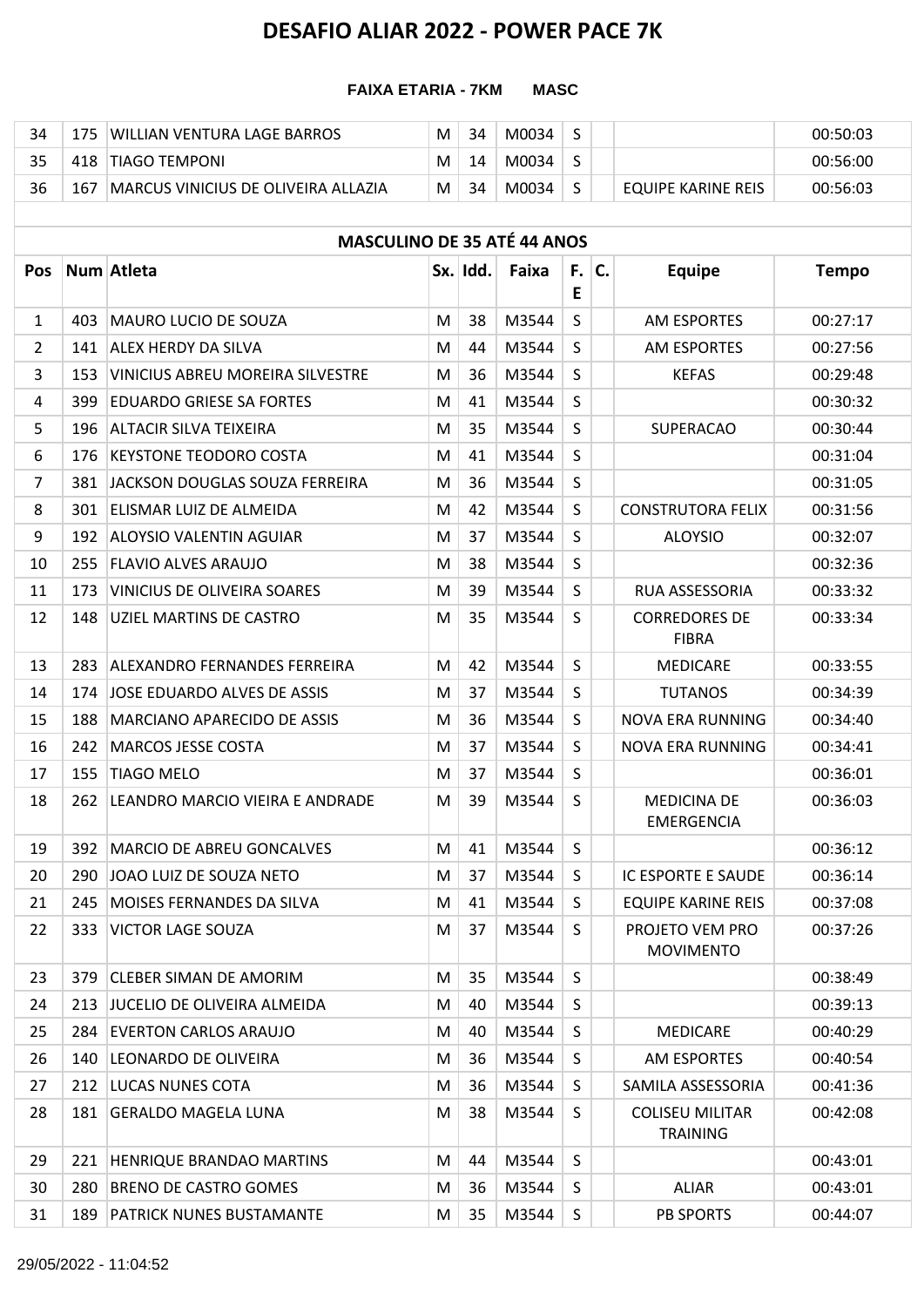### **FAIXA ETARIA - 7KM MASC**

| 34 |     | IWILLIAN VENTURA LAGE BARROS         | M | 34 | M0034 |  |                    | 00:50:03 |
|----|-----|--------------------------------------|---|----|-------|--|--------------------|----------|
|    |     | 418 TIAGO TEMPONI                    | M | 14 | M0034 |  |                    | 00:56:00 |
| 36 | 167 | IMARCUS VINICIUS DE OLIVEIRA ALLAZIA | M | 34 | M0034 |  | EQUIPE KARINE REIS | 00:56:03 |

|            | <b>MASCULINO DE 35 ATÉ 44 ANOS</b> |                                    |   |          |       |              |  |                                           |              |  |  |
|------------|------------------------------------|------------------------------------|---|----------|-------|--------------|--|-------------------------------------------|--------------|--|--|
| <b>Pos</b> |                                    | Num Atleta                         |   | Sx. Idd. | Faixa | $F.$ C.<br>E |  | <b>Equipe</b>                             | <b>Tempo</b> |  |  |
| 1          | 403                                | <b>MAURO LUCIO DE SOUZA</b>        | M | 38       | M3544 | $\mathsf{S}$ |  | <b>AM ESPORTES</b>                        | 00:27:17     |  |  |
| 2          | 141                                | <b>ALEX HERDY DA SILVA</b>         | M | 44       | M3544 | S            |  | <b>AM ESPORTES</b>                        | 00:27:56     |  |  |
| 3          | 153                                | VINICIUS ABREU MOREIRA SILVESTRE   | M | 36       | M3544 | S            |  | <b>KEFAS</b>                              | 00:29:48     |  |  |
| 4          | 399                                | <b>EDUARDO GRIESE SA FORTES</b>    | M | 41       | M3544 | S            |  |                                           | 00:30:32     |  |  |
| 5          | 196                                | <b>ALTACIR SILVA TEIXEIRA</b>      | M | 35       | M3544 | S            |  | <b>SUPERACAO</b>                          | 00:30:44     |  |  |
| 6          | 176                                | <b>KEYSTONE TEODORO COSTA</b>      | M | 41       | M3544 | $\mathsf{S}$ |  |                                           | 00:31:04     |  |  |
| 7          | 381                                | JACKSON DOUGLAS SOUZA FERREIRA     | M | 36       | M3544 | S            |  |                                           | 00:31:05     |  |  |
| 8          | 301                                | ELISMAR LUIZ DE ALMEIDA            | M | 42       | M3544 | S            |  | <b>CONSTRUTORA FELIX</b>                  | 00:31:56     |  |  |
| 9          | 192                                | <b>ALOYSIO VALENTIN AGUIAR</b>     | M | 37       | M3544 | S            |  | <b>ALOYSIO</b>                            | 00:32:07     |  |  |
| 10         | 255                                | <b>FLAVIO ALVES ARAUJO</b>         | M | 38       | M3544 | S            |  |                                           | 00:32:36     |  |  |
| 11         | 173                                | VINICIUS DE OLIVEIRA SOARES        | M | 39       | M3544 | S            |  | <b>RUA ASSESSORIA</b>                     | 00:33:32     |  |  |
| 12         | 148                                | UZIEL MARTINS DE CASTRO            | M | 35       | M3544 | S            |  | <b>CORREDORES DE</b><br><b>FIBRA</b>      | 00:33:34     |  |  |
| 13         | 283                                | ALEXANDRO FERNANDES FERREIRA       | M | 42       | M3544 | $\mathsf{S}$ |  | <b>MEDICARE</b>                           | 00:33:55     |  |  |
| 14         | 174                                | JOSE EDUARDO ALVES DE ASSIS        | M | 37       | M3544 | S            |  | <b>TUTANOS</b>                            | 00:34:39     |  |  |
| 15         | 188                                | <b>MARCIANO APARECIDO DE ASSIS</b> | M | 36       | M3544 | S            |  | <b>NOVA ERA RUNNING</b>                   | 00:34:40     |  |  |
| 16         | 242                                | <b>MARCOS JESSE COSTA</b>          | M | 37       | M3544 | S            |  | <b>NOVA ERA RUNNING</b>                   | 00:34:41     |  |  |
| 17         | 155                                | <b>TIAGO MELO</b>                  | M | 37       | M3544 | S            |  |                                           | 00:36:01     |  |  |
| 18         | 262                                | LEANDRO MARCIO VIEIRA E ANDRADE    | M | 39       | M3544 | S            |  | <b>MEDICINA DE</b><br><b>EMERGENCIA</b>   | 00:36:03     |  |  |
| 19         | 392                                | <b>MARCIO DE ABREU GONCALVES</b>   | M | 41       | M3544 | S            |  |                                           | 00:36:12     |  |  |
| 20         | 290                                | JOAO LUIZ DE SOUZA NETO            | M | 37       | M3544 | S            |  | IC ESPORTE E SAUDE                        | 00:36:14     |  |  |
| 21         | 245                                | MOISES FERNANDES DA SILVA          | M | 41       | M3544 | S.           |  | <b>EQUIPE KARINE REIS</b>                 | 00:37:08     |  |  |
| 22         |                                    | 333 VICTOR LAGE SOUZA              | M | 37       | M3544 | -S           |  | PROJETO VEM PRO<br><b>MOVIMENTO</b>       | 00:37:26     |  |  |
| 23         | 379                                | <b>CLEBER SIMAN DE AMORIM</b>      | M | 35       | M3544 | $\mathsf{S}$ |  |                                           | 00:38:49     |  |  |
| 24         | 213                                | JUCELIO DE OLIVEIRA ALMEIDA        | M | 40       | M3544 | S            |  |                                           | 00:39:13     |  |  |
| 25         | 284                                | <b>EVERTON CARLOS ARAUJO</b>       | M | 40       | M3544 | S.           |  | <b>MEDICARE</b>                           | 00:40:29     |  |  |
| 26         | 140                                | LEONARDO DE OLIVEIRA               | M | 36       | M3544 | S.           |  | AM ESPORTES                               | 00:40:54     |  |  |
| 27         | 212                                | LUCAS NUNES COTA                   | M | 36       | M3544 | S.           |  | SAMILA ASSESSORIA                         | 00:41:36     |  |  |
| 28         | 181                                | <b>GERALDO MAGELA LUNA</b>         | M | 38       | M3544 | S            |  | <b>COLISEU MILITAR</b><br><b>TRAINING</b> | 00:42:08     |  |  |
| 29         | 221                                | HENRIQUE BRANDAO MARTINS           | M | 44       | M3544 | S            |  |                                           | 00:43:01     |  |  |
| 30         | 280                                | BRENO DE CASTRO GOMES              | M | 36       | M3544 | S            |  | <b>ALIAR</b>                              | 00:43:01     |  |  |
| 31         | 189                                | <b>PATRICK NUNES BUSTAMANTE</b>    | M | 35       | M3544 | S            |  | <b>PB SPORTS</b>                          | 00:44:07     |  |  |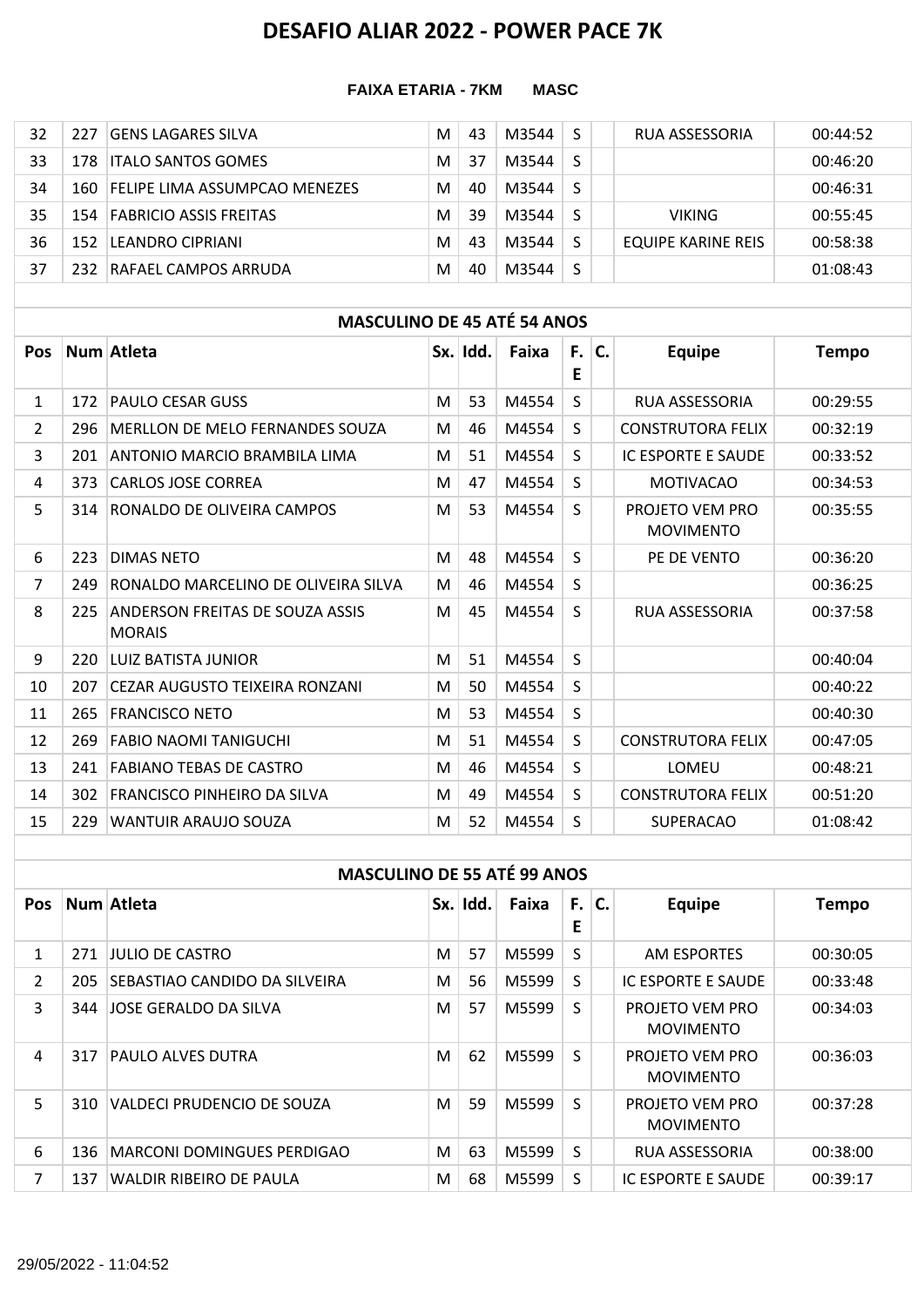### **FAIXA ETARIA - 7KM MASC**

| 32 | 227  | IGENS LAGARES SILVA                  | M | 43 | M3544 |   | RUA ASSESSORIA     | 00:44:52 |
|----|------|--------------------------------------|---|----|-------|---|--------------------|----------|
| 33 |      | 178 <b>ITALO SANTOS GOMES</b>        | M | 37 | M3544 | S |                    | 00:46:20 |
| 34 | 160- | <b>FELIPE LIMA ASSUMPCAO MENEZES</b> | M | 40 | M3544 | S |                    | 00:46:31 |
| 35 |      | 154 FABRICIO ASSIS FREITAS           | M | 39 | M3544 |   | <b>VIKING</b>      | 00:55:45 |
| 36 | 152. | <b>LEANDRO CIPRIANI</b>              | M | 43 | M3544 |   | EQUIPE KARINE REIS | 00:58:38 |
| 37 | 232. | RAFAFL CAMPOS ARRUDA                 | M | 40 | M3544 | S |                    | 01:08:43 |

### **MASCULINO DE 45 ATÉ 54 ANOS**

| <b>Pos</b>     |     | Num Atleta                                       |   | Sx. Idd. | Faixa | F.<br>E | C. | <b>Equipe</b>                       | <b>Tempo</b> |
|----------------|-----|--------------------------------------------------|---|----------|-------|---------|----|-------------------------------------|--------------|
| 1              | 172 | <b>PAULO CESAR GUSS</b>                          | M | 53       | M4554 | S.      |    | <b>RUA ASSESSORIA</b>               | 00:29:55     |
| $\overline{2}$ | 296 | MERLLON DE MELO FERNANDES SOUZA                  | M | 46       | M4554 | S.      |    | <b>CONSTRUTORA FELIX</b>            | 00:32:19     |
| 3              | 201 | ANTONIO MARCIO BRAMBILA LIMA                     | M | 51       | M4554 | S.      |    | <b>IC ESPORTE E SAUDE</b>           | 00:33:52     |
| 4              | 373 | <b>CARLOS JOSE CORREA</b>                        | M | 47       | M4554 | S.      |    | <b>MOTIVACAO</b>                    | 00:34:53     |
| 5              | 314 | RONALDO DE OLIVEIRA CAMPOS                       | M | 53       | M4554 | S.      |    | PROJETO VEM PRO<br><b>MOVIMENTO</b> | 00:35:55     |
| 6              | 223 | <b>DIMAS NETO</b>                                | M | 48       | M4554 | S.      |    | PE DE VENTO                         | 00:36:20     |
| $\overline{7}$ | 249 | RONALDO MARCELINO DE OLIVEIRA SILVA              | M | 46       | M4554 | S.      |    |                                     | 00:36:25     |
| 8              | 225 | ANDERSON FREITAS DE SOUZA ASSIS<br><b>MORAIS</b> | M | 45       | M4554 | S.      |    | RUA ASSESSORIA                      | 00:37:58     |
| 9              | 220 | LUIZ BATISTA JUNIOR                              | M | 51       | M4554 | S.      |    |                                     | 00:40:04     |
| 10             | 207 | CEZAR AUGUSTO TEIXEIRA RONZANI                   | M | 50       | M4554 | S.      |    |                                     | 00:40:22     |
| 11             | 265 | <b>FRANCISCO NETO</b>                            | M | 53       | M4554 | S       |    |                                     | 00:40:30     |
| 12             | 269 | <b>FABIO NAOMI TANIGUCHI</b>                     | M | 51       | M4554 | S.      |    | <b>CONSTRUTORA FELIX</b>            | 00:47:05     |
| 13             | 241 | <b>FABIANO TEBAS DE CASTRO</b>                   | M | 46       | M4554 | S.      |    | LOMEU                               | 00:48:21     |
| 14             | 302 | <b>FRANCISCO PINHEIRO DA SILVA</b>               | M | 49       | M4554 | S.      |    | <b>CONSTRUTORA FELIX</b>            | 00:51:20     |
| 15             | 229 | WANTUIR ARAUJO SOUZA                             | M | 52       | M4554 | S.      |    | <b>SUPERACAO</b>                    | 01:08:42     |

|                |     | <b>MASCULINO DE 55 ATÉ 99 ANOS</b> |   |          |       |              |                                     |              |
|----------------|-----|------------------------------------|---|----------|-------|--------------|-------------------------------------|--------------|
| <b>Pos</b>     |     | Num Atleta                         |   | Sx. Idd. | Faixa | $F.$ C.<br>E | <b>Equipe</b>                       | <b>Tempo</b> |
| $\mathbf{1}$   | 271 | JULIO DE CASTRO                    | M | 57       | M5599 | S.           | AM ESPORTES                         | 00:30:05     |
| $\overline{2}$ | 205 | SEBASTIAO CANDIDO DA SILVEIRA      | M | 56       | M5599 | S.           | IC ESPORTE E SAUDE                  | 00:33:48     |
| 3              | 344 | JOSE GERALDO DA SILVA              | M | 57       | M5599 | S.           | PROJETO VEM PRO<br><b>MOVIMENTO</b> | 00:34:03     |
| 4              | 317 | <b>PAULO ALVES DUTRA</b>           | M | 62       | M5599 | S.           | PROJETO VEM PRO<br><b>MOVIMENTO</b> | 00:36:03     |
| 5              | 310 | VALDECI PRUDENCIO DE SOUZA         | M | 59       | M5599 | S.           | PROJETO VEM PRO<br><b>MOVIMENTO</b> | 00:37:28     |
| 6              | 136 | MARCONI DOMINGUES PERDIGAO         | M | 63       | M5599 | S.           | <b>RUA ASSESSORIA</b>               | 00:38:00     |
| 7              | 137 | <b>WALDIR RIBEIRO DE PAULA</b>     | M | 68       | M5599 | S.           | IC ESPORTE E SAUDE                  | 00:39:17     |